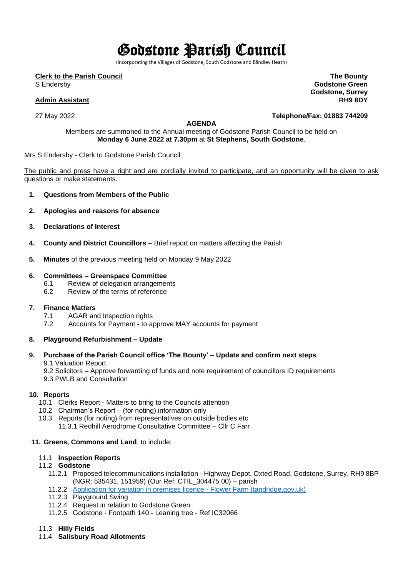# Godstone Parish Council

(incorporating the Villages of Godstone, South Godstone and Blindley Heath)

**Clerk to the Parish Council**

S Endersby

### **Admin Assistant**

27 May 2022

### **AGENDA**

Members are summoned to the Annual meeting of Godstone Parish Council to be held on **Monday 6 June 2022 at 7.30pm** at **St Stephens, South Godstone**.

### Mrs S Endersby - Clerk to Godstone Parish Council

The public and press have a right and are cordially invited to participate, and an opportunity will be given to ask questions or make statements.

- **1. Questions from Members of the Public**
- **2. Apologies and reasons for absence**
- **3. Declarations of Interest**
- **4. County and District Councillors –** Brief report on matters affecting the Parish
- **5. Minutes** of the previous meeting held on Monday 9 May 2022

### **6. Committees – Greenspace Committee**

- 6.1 Review of delegation arrangements
- 6.2 Review of the terms of reference

### **7. Finance Matters**

- 7.1 AGAR and Inspection rights<br>7.2 Accounts for Pavment to a
- Accounts for Payment to approve MAY accounts for payment

### **8. Playground Refurbishment – Update**

## **9. Purchase of the Parish Council office 'The Bounty' – Update and confirm next steps**

9.1 Valuation Report

9.2 Solicitors – Approve forwarding of funds and note requirement of councillors ID requirements

9.3 PWLB and Consultation

### **10. Reports**

- 10.1 Clerks Report Matters to bring to the Councils attention
- 10.2 Chairman's Report (for noting) information only
- 10.3 Reports (for noting) from representatives on outside bodies etc 11.3.1 Redhill Aerodrome Consultative Committee – Cllr C Farr

### **11. Greens, Commons and Land**, to include:

### 11.1 **Inspection Reports**

### 11.2 **Godstone**

- 11.2.1 Proposed telecommunications installation Highway Depot, Oxted Road, Godstone, Surrey, RH9 8BP (NGR: 535431, 151959) (Our Ref: CTIL\_304475 00) – parish
- 11.2.2 [Application for variation in premises licence -](https://www.tandridge.gov.uk/Portals/0/Documents/Business-and-Licensing/Licensing/Alcohol-and-regulated-entertainment-licences/Applications%20for%20premises%20licence/Application-to-vary-a-premises-licence-Flower-Farm.pdf?ver=CCWPsJ7lZkiROlFVDKqaUw%3d%3d) Flower Farm (tandridge.gov.uk)
- 11.2.3 Playground Swing
- 11.2.4 Request in relation to Godstone Green
- 11.2.5 Godstone Footpath 140 Leaning tree Ref IC32066

### 11.3 **Hilly Fields**

11.4 **Salisbury Road Allotments**

**The Bounty Godstone Green Godstone, Surrey RH9 8DY**

**Telephone/Fax: 01883 744209**